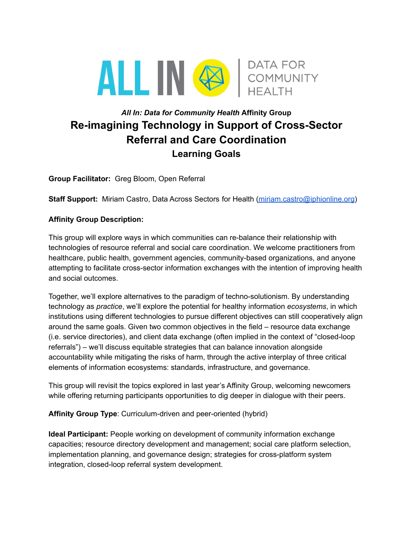

# *All In: Data for Community Health* **Affinity Group Re-imagining Technology in Support of Cross-Sector Referral and Care Coordination Learning Goals**

**Group Facilitator:** Greg Bloom, Open Referral

**Staff Support:** Miriam Castro, Data Across Sectors for Health [\(miriam.castro@iphionline.org](mailto:miriam.castro@iphionline.org))

#### **Affinity Group Description:**

This group will explore ways in which communities can re-balance their relationship with technologies of resource referral and social care coordination. We welcome practitioners from healthcare, public health, government agencies, community-based organizations, and anyone attempting to facilitate cross-sector information exchanges with the intention of improving health and social outcomes.

Together, we'll explore alternatives to the paradigm of techno-solutionism. By understanding technology as *practice*, we'll explore the potential for healthy information *ecosystems*, in which institutions using different technologies to pursue different objectives can still cooperatively align around the same goals. Given two common objectives in the field – resource data exchange (i.e. service directories), and client data exchange (often implied in the context of "closed-loop referrals") – we'll discuss equitable strategies that can balance innovation alongside accountability while mitigating the risks of harm, through the active interplay of three critical elements of information ecosystems: standards, infrastructure, and governance.

This group will revisit the topics explored in last year's Affinity Group, welcoming newcomers while offering returning participants opportunities to dig deeper in dialogue with their peers.

**Affinity Group Type**: Curriculum-driven and peer-oriented (hybrid)

**Ideal Participant:** People working on development of community information exchange capacities; resource directory development and management; social care platform selection, implementation planning, and governance design; strategies for cross-platform system integration, closed-loop referral system development.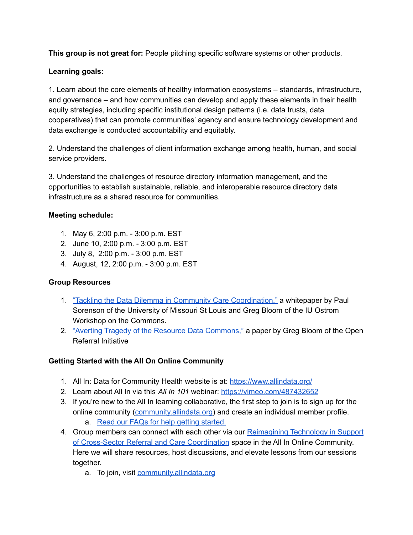**This group is not great for:** People pitching specific software systems or other products.

### **Learning goals:**

1. Learn about the core elements of healthy information ecosystems – standards, infrastructure, and governance – and how communities can develop and apply these elements in their health equity strategies, including specific institutional design patterns (i.e. data trusts, data cooperatives) that can promote communities' agency and ensure technology development and data exchange is conducted accountability and equitably.

2. Understand the challenges of client information exchange among health, human, and social service providers.

3. Understand the challenges of resource directory information management, and the opportunities to establish sustainable, reliable, and interoperable resource directory data infrastructure as a shared resource for communities.

#### **Meeting schedule:**

- 1. May 6, 2:00 p.m. 3:00 p.m. EST
- 2. June 10, 2:00 p.m. 3:00 p.m. EST
- 3. July 8, 2:00 p.m. 3:00 p.m. EST
- 4. August, 12, 2:00 p.m. 3:00 p.m. EST

#### **Group Resources**

- 1. "Tackling the Data Dilemma in Community Care [Coordination,"](https://docs.google.com/document/d/1UOaSYxSO7Y_p6e9Hqeyrt-M25H1RV7wq_vX-1Lp1NEs/edit#) a whitepaper by Paul Sorenson of the University of Missouri St Louis and Greg Bloom of the IU Ostrom Workshop on the Commons.
- 2. "Averting Tragedy of the Resource Data [Commons,"](https://bitly.com/CUPChapter) a paper by Greg Bloom of the Open Referral Initiative

## **Getting Started with the All On Online Community**

- 1. All In: Data for Community Health website is at: <https://www.allindata.org/>
- 2. Learn about All In via this *All In 101* webinar: <https://vimeo.com/487432652>
- 3. If you're new to the All In learning collaborative, the first step to join is to sign up for the online community [\(community.allindata.org\)](https://community.allindata.org/home) and create an individual member profile. a. Read our FAQs for help getting [started.](https://community.allindata.org/participate/faq)
- 4. Group members can connect with each other via our [Reimagining](https://community.allindata.org/viewdocument/reading-and-reference-list-for-re-i?CommunityKey=1f4a4112-b17a-4a02-8e7a-39783de7db14&tab=librarydocuments) Technology in Support of [Cross-Sector](https://community.allindata.org/viewdocument/reading-and-reference-list-for-re-i?CommunityKey=1f4a4112-b17a-4a02-8e7a-39783de7db14&tab=librarydocuments) Referral and Care Coordination space in the All In Online Community. Here we will share resources, host discussions, and elevate lessons from our sessions together.
	- a. To join, visit [community.allindata.org](https://community.allindata.org/home)